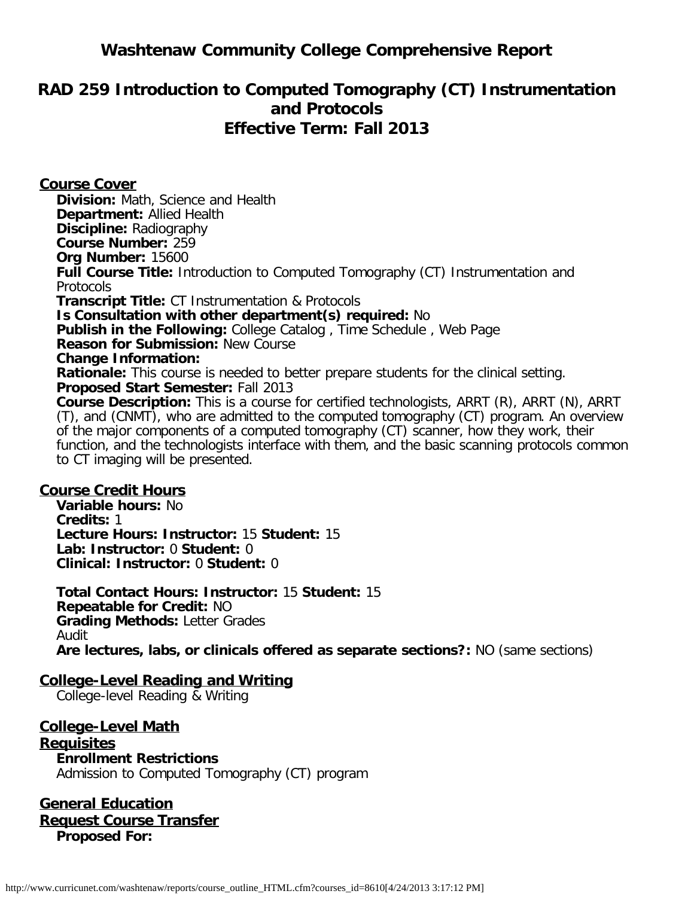# **Washtenaw Community College Comprehensive Report**

# **RAD 259 Introduction to Computed Tomography (CT) Instrumentation and Protocols Effective Term: Fall 2013**

**Course Cover Division:** Math, Science and Health **Department:** Allied Health **Discipline:** Radiography **Course Number:** 259 **Org Number:** 15600 **Full Course Title:** Introduction to Computed Tomography (CT) Instrumentation and **Protocols Transcript Title:** CT Instrumentation & Protocols **Is Consultation with other department(s) required:** No **Publish in the Following:** College Catalog , Time Schedule , Web Page **Reason for Submission:** New Course **Change Information: Rationale:** This course is needed to better prepare students for the clinical setting. **Proposed Start Semester:** Fall 2013 **Course Description:** This is a course for certified technologists, ARRT (R), ARRT (N), ARRT (T), and (CNMT), who are admitted to the computed tomography (CT) program. An overview of the major components of a computed tomography (CT) scanner, how they work, their function, and the technologists interface with them, and the basic scanning protocols common to CT imaging will be presented.

#### **Course Credit Hours**

**Variable hours:** No **Credits:** 1 **Lecture Hours: Instructor:** 15 **Student:** 15 **Lab: Instructor:** 0 **Student:** 0 **Clinical: Instructor:** 0 **Student:** 0

**Total Contact Hours: Instructor:** 15 **Student:** 15 **Repeatable for Credit:** NO **Grading Methods:** Letter Grades Audit **Are lectures, labs, or clinicals offered as separate sections?:** NO (same sections)

#### **College-Level Reading and Writing**

College-level Reading & Writing

**College-Level Math Requisites Enrollment Restrictions** Admission to Computed Tomography (CT) program

**General Education Request Course Transfer Proposed For:**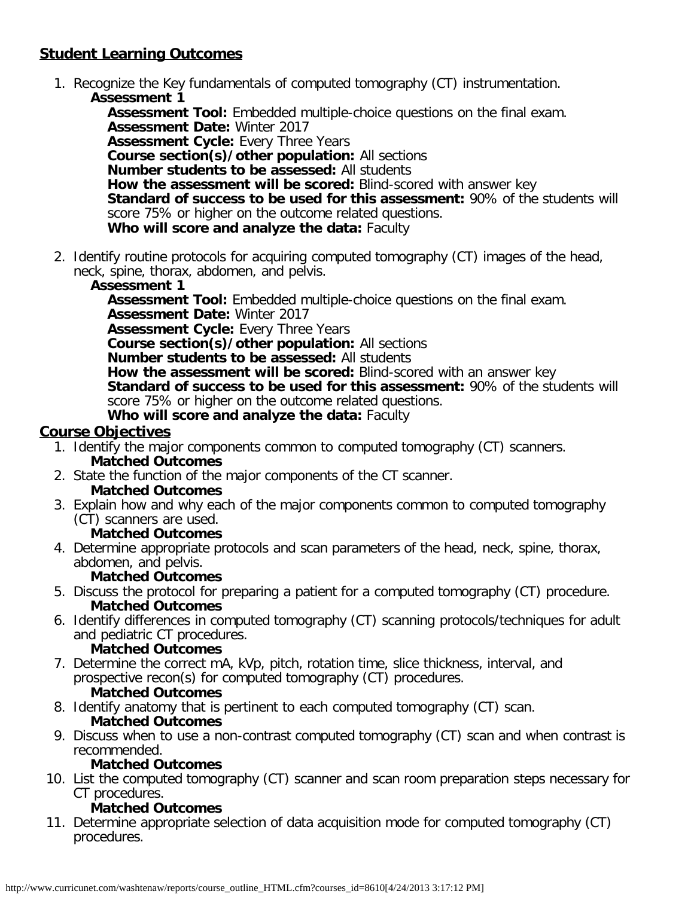## **Student Learning Outcomes**

1. Recognize the Key fundamentals of computed tomography (CT) instrumentation. **Assessment 1**

**Assessment Tool:** Embedded multiple-choice questions on the final exam. **Assessment Date:** Winter 2017 **Assessment Cycle:** Every Three Years **Course section(s)/other population:** All sections **Number students to be assessed:** All students **How the assessment will be scored:** Blind-scored with answer key **Standard of success to be used for this assessment:** 90% of the students will score 75% or higher on the outcome related questions. **Who will score and analyze the data:** Faculty

2. Identify routine protocols for acquiring computed tomography (CT) images of the head, neck, spine, thorax, abdomen, and pelvis.

#### **Assessment 1**

**Assessment Tool:** Embedded multiple-choice questions on the final exam. **Assessment Date:** Winter 2017 **Assessment Cycle:** Every Three Years **Course section(s)/other population:** All sections **Number students to be assessed:** All students **How the assessment will be scored:** Blind-scored with an answer key **Standard of success to be used for this assessment:** 90% of the students will score 75% or higher on the outcome related questions.

**Who will score and analyze the data:** Faculty

## **Course Objectives**

- 1. Identify the major components common to computed tomography (CT) scanners. **Matched Outcomes**
- 2. State the function of the major components of the CT scanner. **Matched Outcomes**
- 3. Explain how and why each of the major components common to computed tomography (CT) scanners are used.
	- **Matched Outcomes**
- 4. Determine appropriate protocols and scan parameters of the head, neck, spine, thorax, abdomen, and pelvis.

#### **Matched Outcomes**

- 5. Discuss the protocol for preparing a patient for a computed tomography (CT) procedure. **Matched Outcomes**
- 6. Identify differences in computed tomography (CT) scanning protocols/techniques for adult and pediatric CT procedures.

#### **Matched Outcomes**

- 7. Determine the correct mA, kVp, pitch, rotation time, slice thickness, interval, and prospective recon(s) for computed tomography (CT) procedures. **Matched Outcomes**
- 8. Identify anatomy that is pertinent to each computed tomography (CT) scan. **Matched Outcomes**
- 9. Discuss when to use a non-contrast computed tomography (CT) scan and when contrast is recommended.

#### **Matched Outcomes**

10. List the computed tomography (CT) scanner and scan room preparation steps necessary for CT procedures.

#### **Matched Outcomes**

11. Determine appropriate selection of data acquisition mode for computed tomography (CT) procedures.